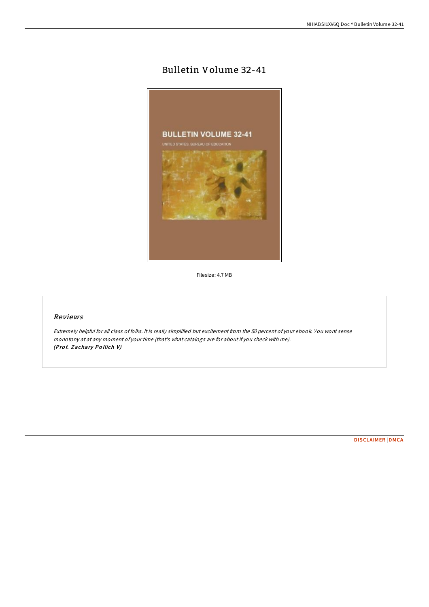# Bulletin Volume 32-41



Filesize: 4.7 MB

### Reviews

Extremely helpful for all class of folks. It is really simplified but excitement from the 50 percent of your ebook. You wont sense monotony at at any moment of your time (that's what catalogs are for about if you check with me). (Prof. Zachary Pollich V)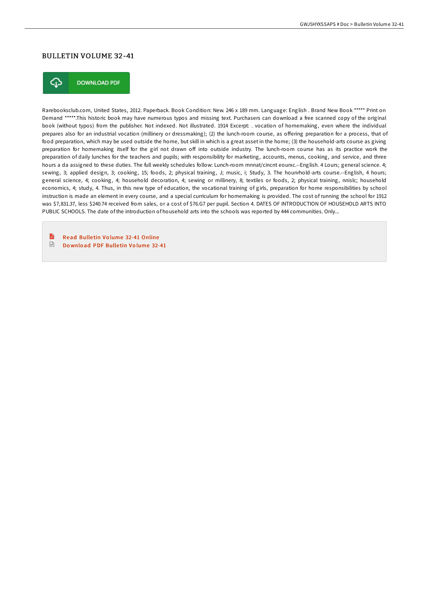# BULLETIN VOLUME 32-41



**DOWNLOAD PDF** 

Rarebooksclub.com, United States, 2012. Paperback. Book Condition: New. 246 x 189 mm. Language: English . Brand New Book \*\*\*\*\* Print on Demand \*\*\*\*\*.This historic book may have numerous typos and missing text. Purchasers can download a free scanned copy of the original book (without typos) from the publisher. Not indexed. Not illustrated. 1914 Excerpt: . vocation of homemaking, even where the individual prepares also for an industrial vocation (millinery or dressmaking); (2) the lunch-room course, as offering preparation for a process, that of food preparation, which may be used outside the home, but skill in which is a great asset in the home; (3) the household-arts course as giving preparation for homemaking itself for the girl not drawn off into outside industry. The lunch-room course has as its practice work the preparation of daily lunches for the teachers and pupils; with responsibility for marketing, accounts, menus, cooking, and service, and three hours a da assigned to these duties. The full weekly schedules follow: Lunch-room mnnat/cincnt eourxc.--English. 4 Lours; general science. 4; sewing, 3; applied design, 3; cooking, 15; foods, 2; physical training, J; music, i; Study, 3. The hounrhold-arts course.--English, 4 hours; general science, 4; cooking, 4; household decoration, 4; sewing or millinery, 8; textiles or foods, 2; physical training, nnislc; household economics, 4; study, 4. Thus, in this new type of education, the vocational training of girls, preparation for home responsibilities by school instruction is made an element in every course, and a special curriculum for homemaking is provided. The cost of running the school for 1912 was \$7,831.37, less \$240.74 received from sales, or a cost of \$76.G7 per pupil. Section 4. DATES OF INTRODUCTION OF HOUSEHOLD ARTS INTO PUBLIC SCHOOLS. The date of the introduction of household arts into the schools was reported by 444 communities. Only...

R Read Bulletin Volume 32-41 [Online](http://almighty24.tech/bulletin-volume-32-41-paperback.html)  $\sqrt{\frac{1}{2}}$ Do wnlo ad PDF Bulle tin Vo lume [32-41](http://almighty24.tech/bulletin-volume-32-41-paperback.html)